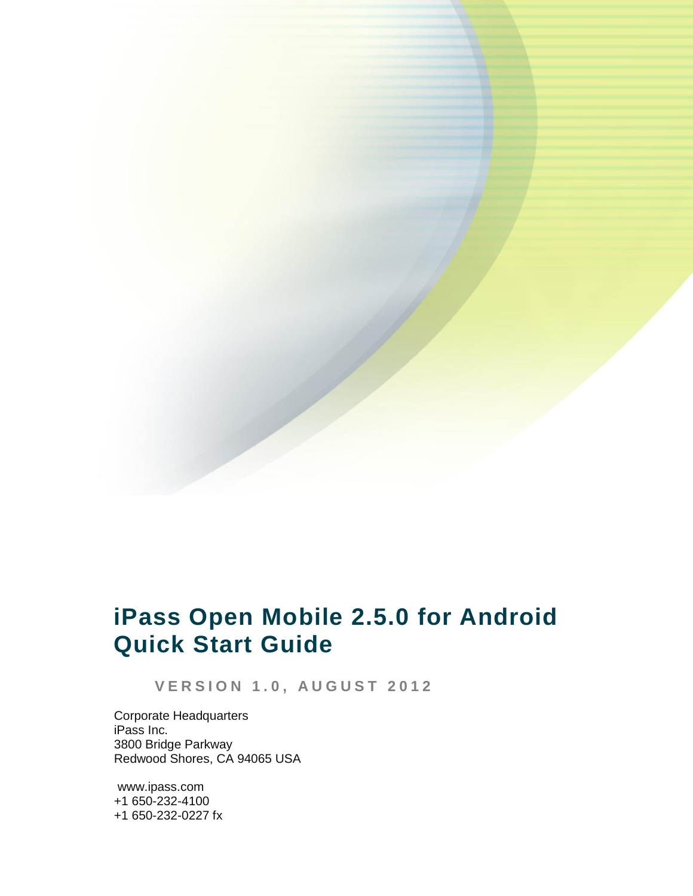

# **iPass Open Mobile 2.5.0 for Android Quick Start Guide**

**V E R S I O N 1 . 0 , A U G U S T 2 0 1 2**

Corporate Headquarters iPass Inc. 3800 Bridge Parkway Redwood Shores, CA 94065 USA

www.ipass.com +1 650-232-4100 +1 650-232-0227 fx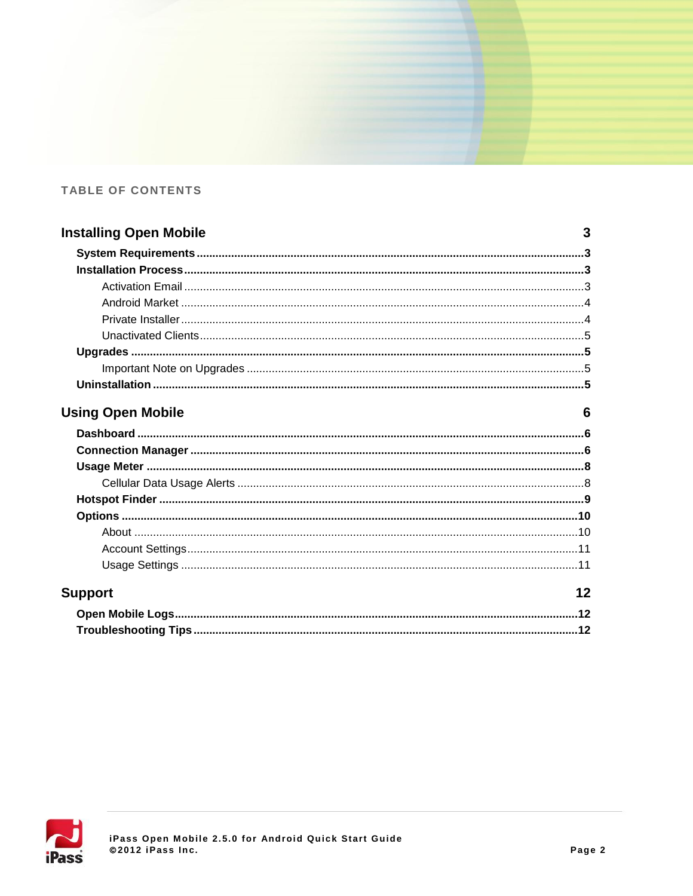### **TABLE OF CONTENTS**

| <b>Installing Open Mobile</b> |   |  |  |
|-------------------------------|---|--|--|
|                               |   |  |  |
|                               |   |  |  |
|                               |   |  |  |
|                               |   |  |  |
|                               |   |  |  |
|                               |   |  |  |
|                               |   |  |  |
|                               |   |  |  |
|                               |   |  |  |
| <b>Using Open Mobile</b>      | 6 |  |  |
|                               |   |  |  |
|                               |   |  |  |
|                               |   |  |  |
|                               |   |  |  |
|                               |   |  |  |
|                               |   |  |  |
|                               |   |  |  |



| <b>upport</b> | 12 <sub>2</sub> |
|---------------|-----------------|
|               |                 |
|               |                 |

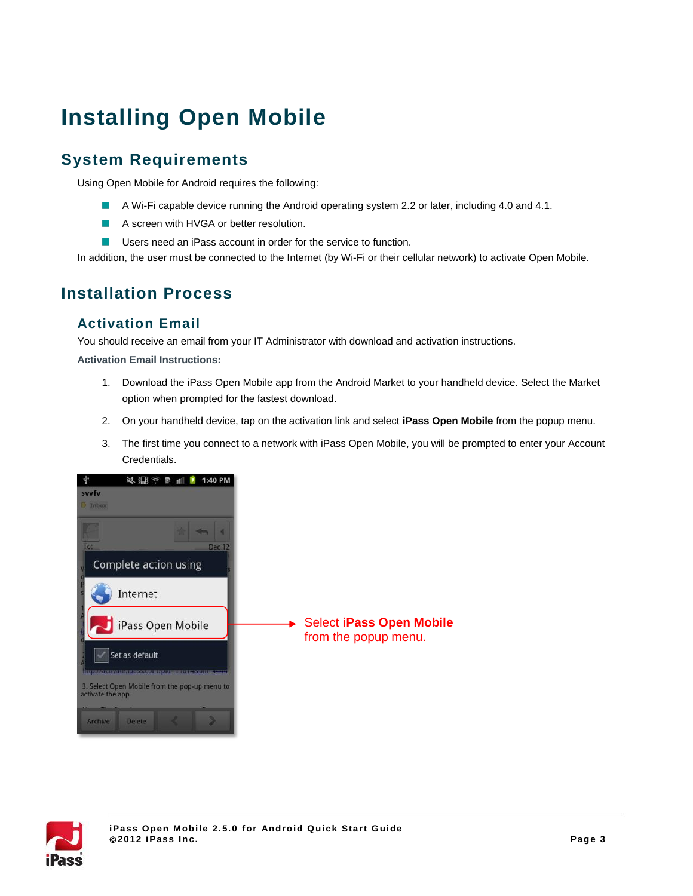# **Installing Open Mobile**

## **System Requirements**

Using Open Mobile for Android requires the following:

- A Wi-Fi capable device running the Android operating system 2.2 or later, including 4.0 and 4.1.
- A screen with HVGA or better resolution.
- **Users need an iPass account in order for the service to function.**

In addition, the user must be connected to the Internet (by Wi-Fi or their cellular network) to activate Open Mobile.

### **Installation Process**

### **Activation Email**

You should receive an email from your IT Administrator with download and activation instructions.

**Activation Email Instructions:**

- 1. Download the iPass Open Mobile app from the Android Market to your handheld device. Select the Market option when prompted for the fastest download.
- 2. On your handheld device, tap on the activation link and select **iPass Open Mobile** from the popup menu.
- 3. The first time you connect to a network with iPass Open Mobile, you will be prompted to enter your Account Credentials.



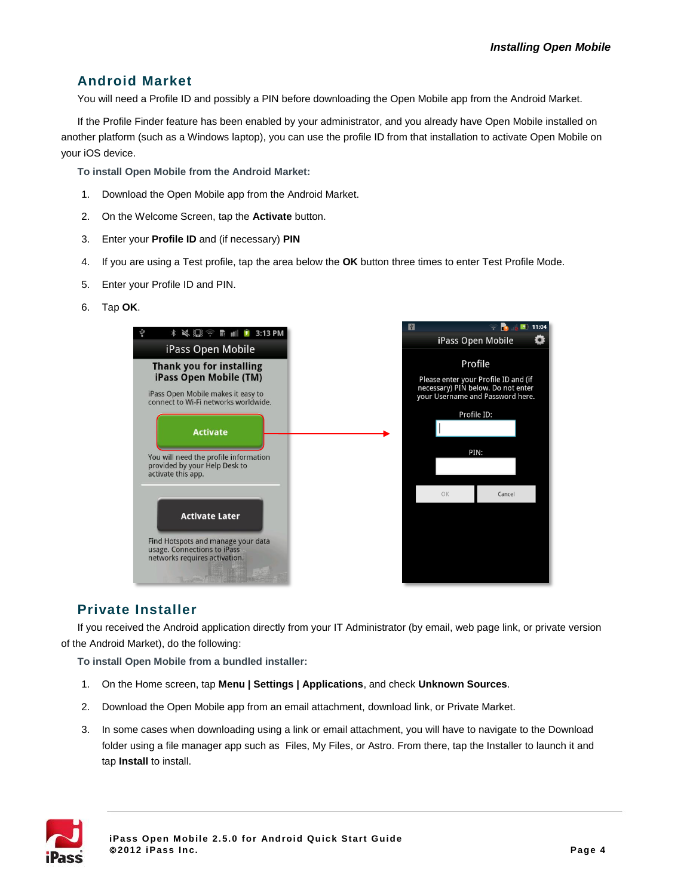### **Android Market**

You will need a Profile ID and possibly a PIN before downloading the Open Mobile app from the Android Market.

If the Profile Finder feature has been enabled by your administrator, and you already have Open Mobile installed on another platform (such as a Windows laptop), you can use the profile ID from that installation to activate Open Mobile on your iOS device.

**To install Open Mobile from the Android Market:**

- 1. Download the Open Mobile app from the Android Market.
- 2. On the Welcome Screen, tap the **Activate** button.
- 3. Enter your **Profile ID** and (if necessary) **PIN**
- 4. If you are using a Test profile, tap the area below the **OK** button three times to enter Test Profile Mode.
- 5. Enter your Profile ID and PIN.
- 6. Tap **OK**.



### **Private Installer**

If you received the Android application directly from your IT Administrator (by email, web page link, or private version of the Android Market), do the following:

**To install Open Mobile from a bundled installer:**

- 1. On the Home screen, tap **Menu | Settings | Applications**, and check **Unknown Sources**.
- 2. Download the Open Mobile app from an email attachment, download link, or Private Market.
- 3. In some cases when downloading using a link or email attachment, you will have to navigate to the Download folder using a file manager app such as Files, My Files, or Astro. From there, tap the Installer to launch it and tap **Install** to install.

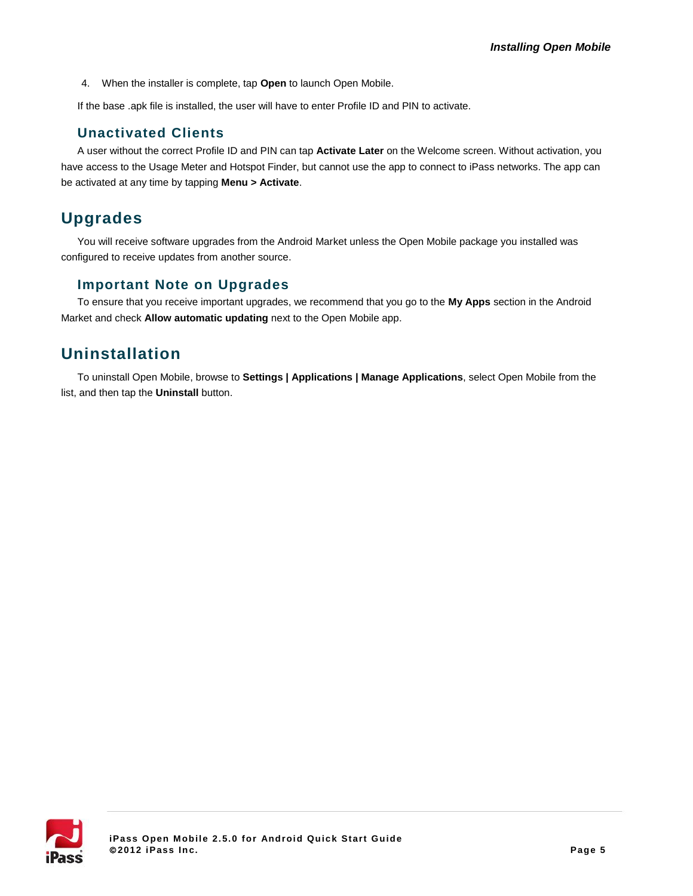4. When the installer is complete, tap **Open** to launch Open Mobile.

If the base .apk file is installed, the user will have to enter Profile ID and PIN to activate.

#### **Unactivated Clients**

A user without the correct Profile ID and PIN can tap **Activate Later** on the Welcome screen. Without activation, you have access to the Usage Meter and Hotspot Finder, but cannot use the app to connect to iPass networks. The app can be activated at any time by tapping **Menu > Activate**.

### **Upgrades**

You will receive software upgrades from the Android Market unless the Open Mobile package you installed was configured to receive updates from another source.

### **Important Note on Upgrades**

To ensure that you receive important upgrades, we recommend that you go to the **My Apps** section in the Android Market and check **Allow automatic updating** next to the Open Mobile app.

### **Uninstallation**

To uninstall Open Mobile, browse to **Settings | Applications | Manage Applications**, select Open Mobile from the list, and then tap the **Uninstall** button.

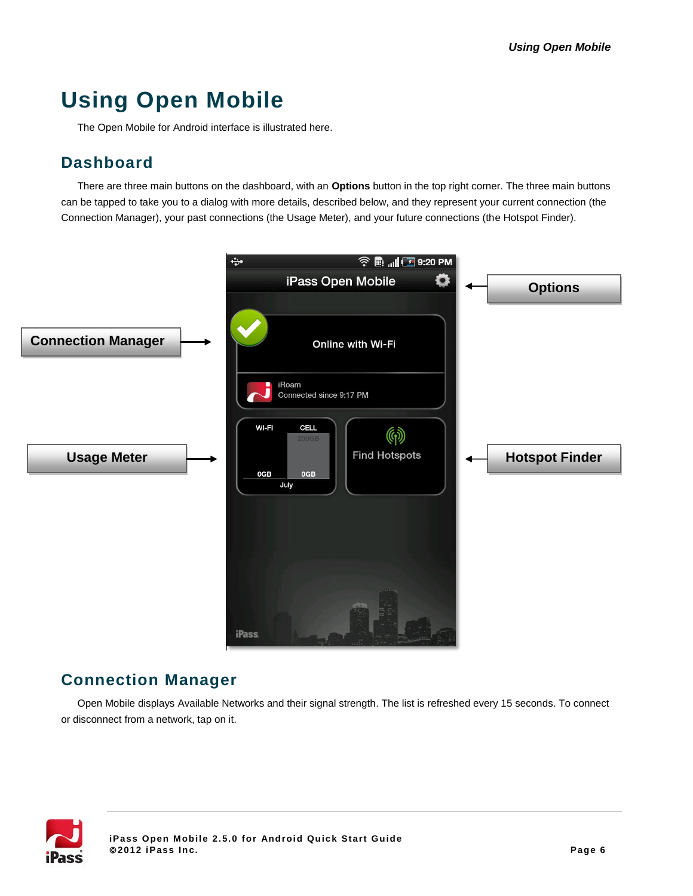# **Using Open Mobile**

The Open Mobile for Android interface is illustrated here.

### **Dashboard**

There are three main buttons on the dashboard, with an **Options** button in the top right corner. The three main buttons can be tapped to take you to a dialog with more details, described below, and they represent your current connection (the Connection Manager), your past connections (the Usage Meter), and your future connections (the Hotspot Finder).



### **Connection Manager**

Open Mobile displays Available Networks and their signal strength. The list is refreshed every 15 seconds. To connect or disconnect from a network, tap on it.

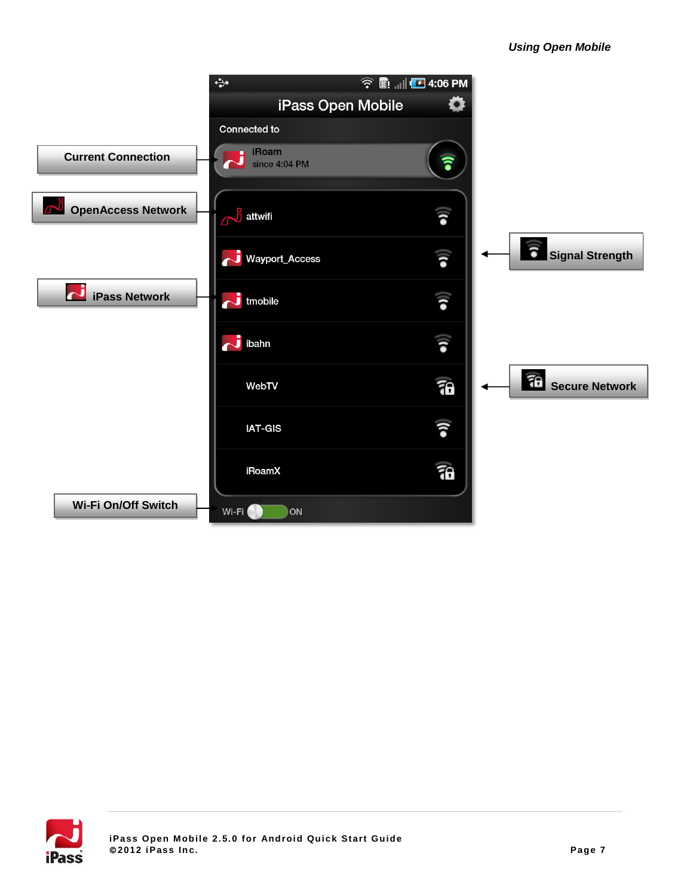

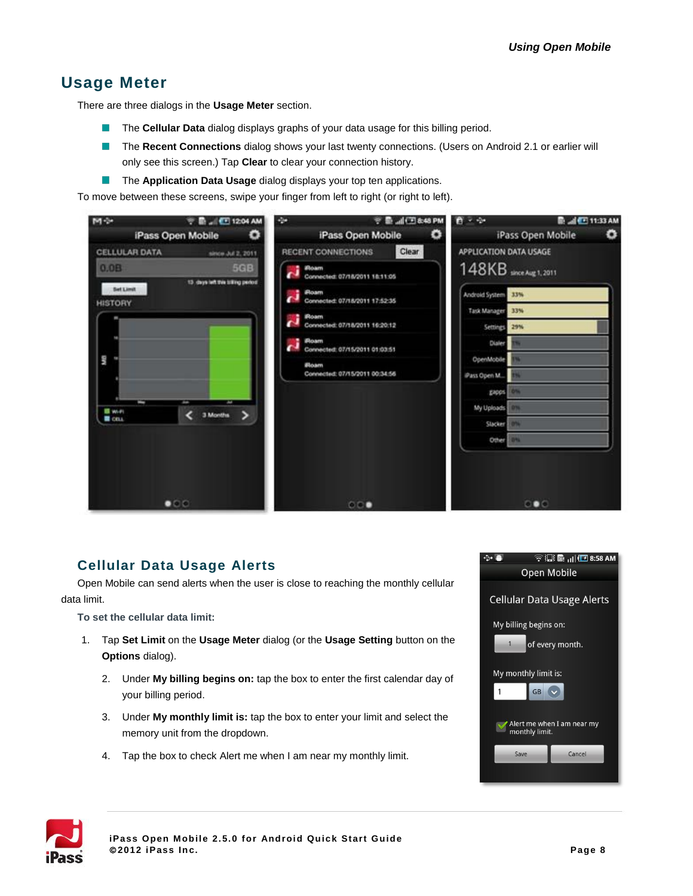### **Usage Meter**

There are three dialogs in the **Usage Meter** section.

- П The **Cellular Data** dialog displays graphs of your data usage for this billing period.
- The **Recent Connections** dialog shows your last twenty connections. (Users on Android 2.1 or earlier will only see this screen.) Tap **Clear** to clear your connection history.
- $\mathcal{L}_{\mathcal{A}}$ The **Application Data Usage** dialog displays your top ten applications.

To move between these screens, swipe your finger from left to right (or right to left).



### <span id="page-7-0"></span>**Cellular Data Usage Alerts**

Open Mobile can send alerts when the user is close to reaching the monthly cellular data limit.

**To set the cellular data limit:**

- 1. Tap **Set Limit** on the **Usage Meter** dialog (or the **Usage Setting** button on the **Options** dialog).
	- 2. Under **My billing begins on:** tap the box to enter the first calendar day of your billing period.
	- 3. Under **My monthly limit is:** tap the box to enter your limit and select the memory unit from the dropdown.
	- 4. Tap the box to check Alert me when I am near my monthly limit.



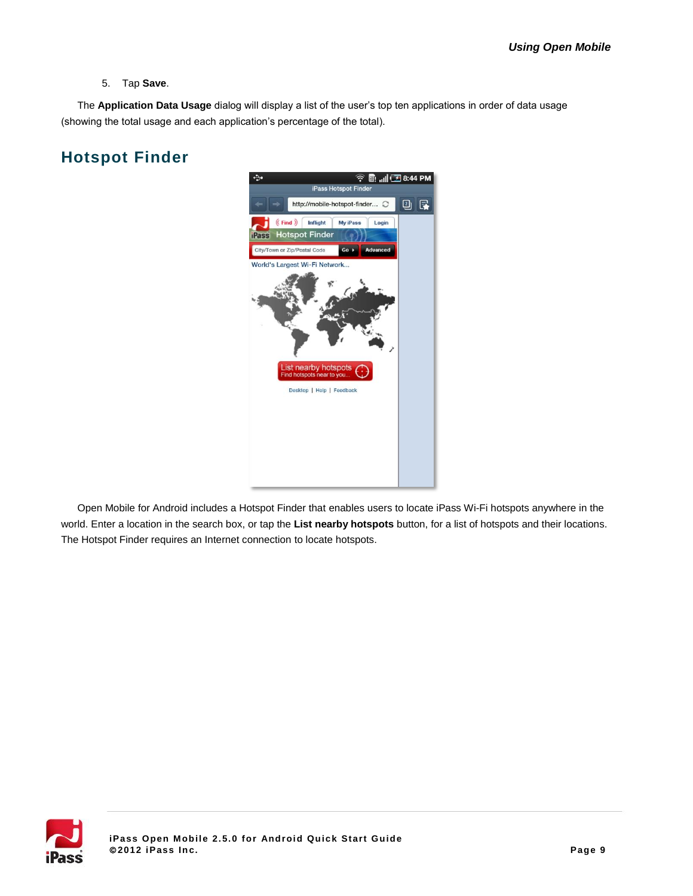5. Tap **Save**.

The **Application Data Usage** dialog will display a list of the user's top ten applications in order of data usage (showing the total usage and each application's percentage of the total).

## **Hotspot Finder**



Open Mobile for Android includes a Hotspot Finder that enables users to locate iPass Wi-Fi hotspots anywhere in the world. Enter a location in the search box, or tap the **List nearby hotspots** button, for a list of hotspots and their locations. The Hotspot Finder requires an Internet connection to locate hotspots.

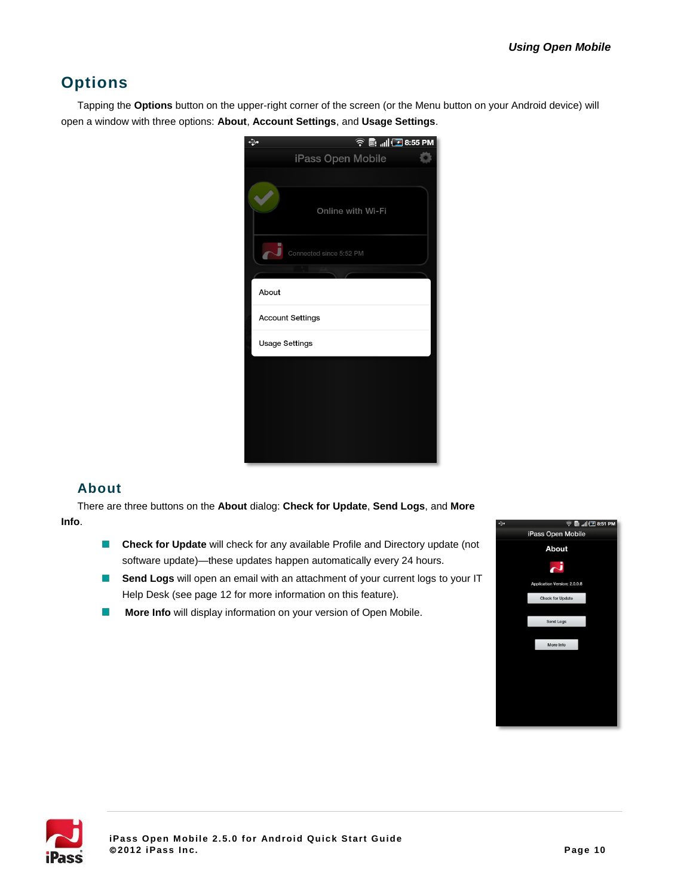## **Options**

Tapping the **Options** button on the upper-right corner of the screen (or the Menu button on your Android device) will open a window with three options: **About**, **Account Settings**, and **Usage Settings**.

| ↔ |                                                  |                         |                   | <b>全国 11 至8:55 PM</b> |  |
|---|--------------------------------------------------|-------------------------|-------------------|-----------------------|--|
|   |                                                  |                         | iPass Open Mobile |                       |  |
|   |                                                  |                         |                   |                       |  |
|   |                                                  |                         | Online with Wi-Fi |                       |  |
|   |                                                  | Connected since 5:52 PM |                   |                       |  |
|   |                                                  |                         |                   |                       |  |
|   | About                                            |                         |                   |                       |  |
|   | <b>Account Settings</b><br><b>Usage Settings</b> |                         |                   |                       |  |
|   |                                                  |                         |                   |                       |  |
|   |                                                  |                         |                   |                       |  |
|   |                                                  |                         |                   |                       |  |
|   |                                                  |                         |                   |                       |  |
|   |                                                  |                         |                   |                       |  |
|   |                                                  |                         |                   |                       |  |
|   |                                                  |                         |                   |                       |  |
|   |                                                  |                         |                   |                       |  |

### **About**

There are three buttons on the **About** dialog: **Check for Update**, **Send Logs**, and **More Info**.

- **Check for Update** will check for any available Profile and Directory update (not software update)—these updates happen automatically every 24 hours.
- **Send Logs** will open an email with an attachment of your current logs to your IT Help Desk (see pag[e 12](#page-11-0) for more information on this feature).
- **More Info** will display information on your version of Open Mobile.  $\mathcal{C}$



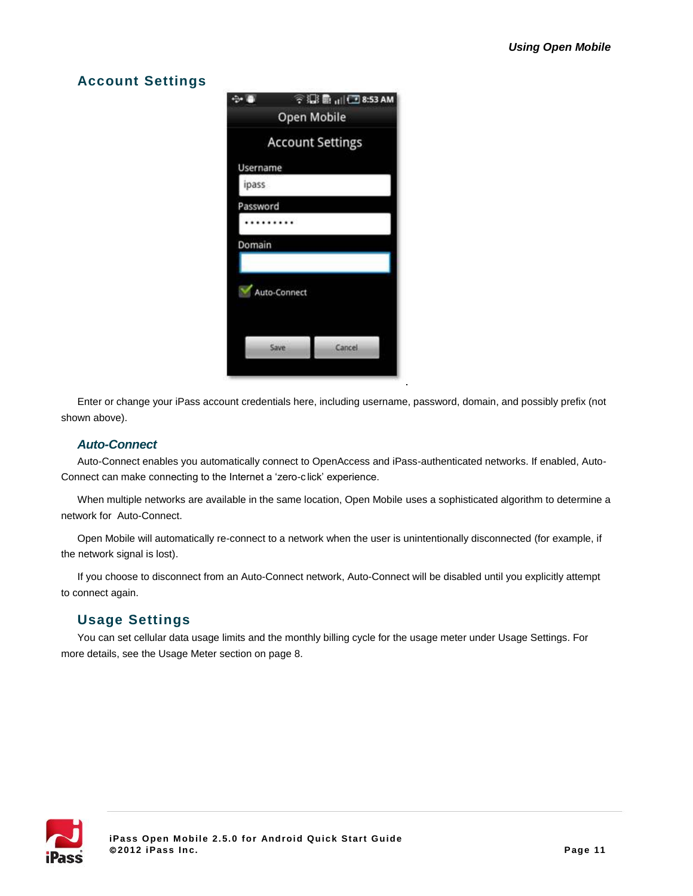### **Account Settings**



Enter or change your iPass account credentials here, including username, password, domain, and possibly prefix (not shown above).

#### *Auto-Connect*

Auto-Connect enables you automatically connect to OpenAccess and iPass-authenticated networks. If enabled, Auto-Connect can make connecting to the Internet a 'zero-c lick' experience.

When multiple networks are available in the same location, Open Mobile uses a sophisticated algorithm to determine a network for Auto-Connect.

Open Mobile will automatically re-connect to a network when the user is unintentionally disconnected (for example, if the network signal is lost).

If you choose to disconnect from an Auto-Connect network, Auto-Connect will be disabled until you explicitly attempt to connect again.

### **Usage Settings**

You can set cellular data usage limits and the monthly billing cycle for the usage meter under Usage Settings. For more details, see the Usage Meter section on page [8.](#page-7-0)

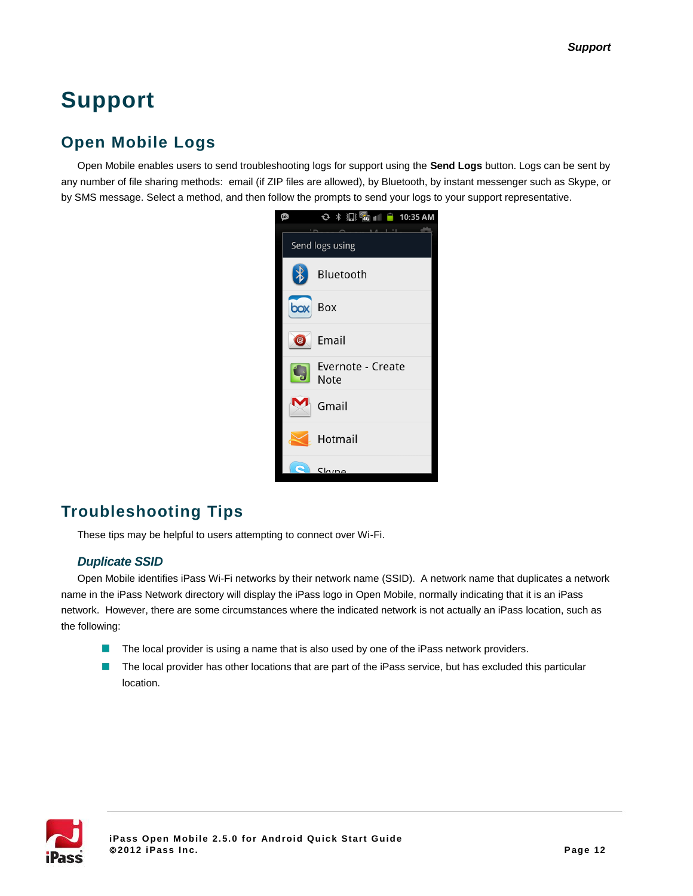# **Support**

## <span id="page-11-0"></span>**Open Mobile Logs**

Open Mobile enables users to send troubleshooting logs for support using the **Send Logs** button. Logs can be sent by any number of file sharing methods: email (if ZIP files are allowed), by Bluetooth, by instant messenger such as Skype, or by SMS message. Select a method, and then follow the prompts to send your logs to your support representative.



### **Troubleshooting Tips**

These tips may be helpful to users attempting to connect over Wi-Fi.

#### *Duplicate SSID*

Open Mobile identifies iPass Wi-Fi networks by their network name (SSID). A network name that duplicates a network name in the iPass Network directory will display the iPass logo in Open Mobile, normally indicating that it is an iPass network. However, there are some circumstances where the indicated network is not actually an iPass location, such as the following:

- The local provider is using a name that is also used by one of the iPass network providers. П
- $\mathcal{C}$ The local provider has other locations that are part of the iPass service, but has excluded this particular location.

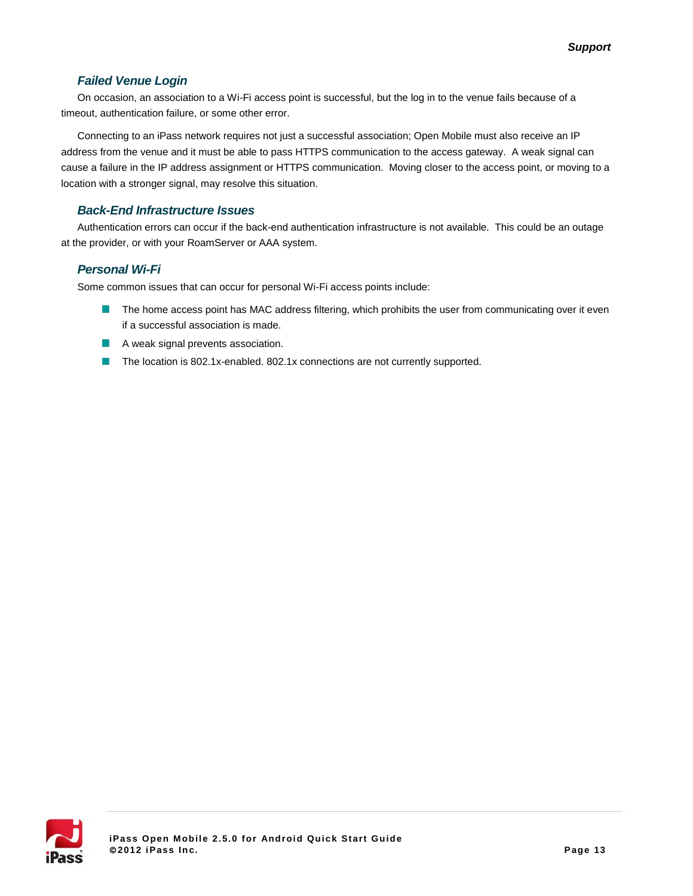#### *Failed Venue Login*

On occasion, an association to a Wi-Fi access point is successful, but the log in to the venue fails because of a timeout, authentication failure, or some other error.

Connecting to an iPass network requires not just a successful association; Open Mobile must also receive an IP address from the venue and it must be able to pass HTTPS communication to the access gateway. A weak signal can cause a failure in the IP address assignment or HTTPS communication. Moving closer to the access point, or moving to a location with a stronger signal, may resolve this situation.

#### *Back-End Infrastructure Issues*

Authentication errors can occur if the back-end authentication infrastructure is not available. This could be an outage at the provider, or with your RoamServer or AAA system.

#### *Personal Wi-Fi*

Some common issues that can occur for personal Wi-Fi access points include:

- The home access point has MAC address filtering, which prohibits the user from communicating over it even if a successful association is made.
- A weak signal prevents association.
- The location is 802.1x-enabled. 802.1x connections are not currently supported.m.